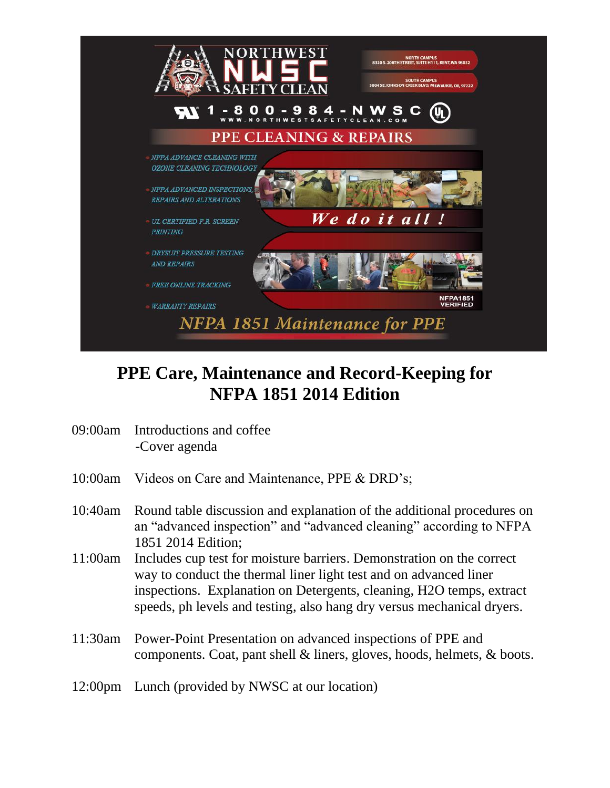

## **PPE Care, Maintenance and Record-Keeping for NFPA 1851 2014 Edition**

- 09:00am Introductions and coffee -Cover agenda
- 10:00am Videos on Care and Maintenance, PPE & DRD's;
- 10:40am Round table discussion and explanation of the additional procedures on an "advanced inspection" and "advanced cleaning" according to NFPA 1851 2014 Edition;
- 11:00am Includes cup test for moisture barriers. Demonstration on the correct way to conduct the thermal liner light test and on advanced liner inspections. Explanation on Detergents, cleaning, H2O temps, extract speeds, ph levels and testing, also hang dry versus mechanical dryers.
- 11:30am Power-Point Presentation on advanced inspections of PPE and components. Coat, pant shell & liners, gloves, hoods, helmets, & boots.
- 12:00pm Lunch (provided by NWSC at our location)